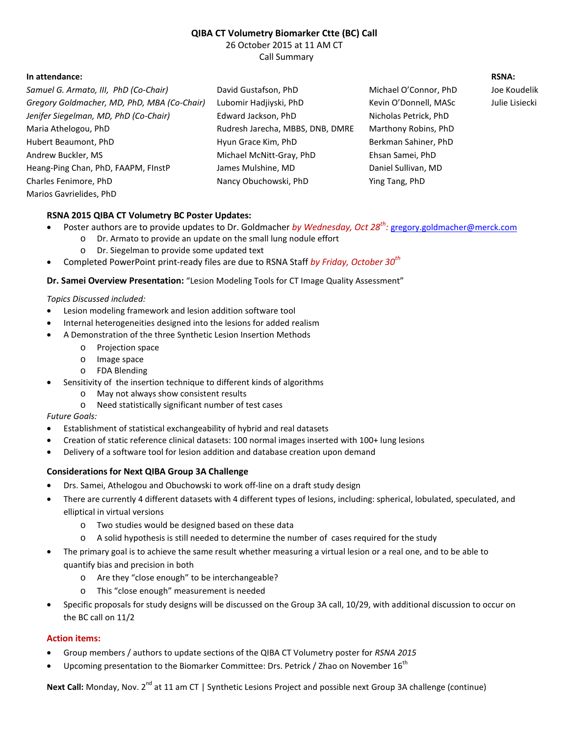# **QIBA CT Volumetry Biomarker Ctte (BC) Call**

26 October 2015 at 11 AM CT Call Summary

## **In attendance: RSNA:**

| Samuel G. Armato, III, PhD (Co-Chair)       | David Gustafson, PhD             | Michael O'Connor, PhD | Joe Koudelik   |
|---------------------------------------------|----------------------------------|-----------------------|----------------|
| Gregory Goldmacher, MD, PhD, MBA (Co-Chair) | Lubomir Hadjiyski, PhD           | Kevin O'Donnell, MASc | Julie Lisiecki |
| Jenifer Siegelman, MD, PhD (Co-Chair)       | Edward Jackson, PhD              | Nicholas Petrick, PhD |                |
| Maria Athelogou, PhD                        | Rudresh Jarecha, MBBS, DNB, DMRE | Marthony Robins, PhD  |                |
| Hubert Beaumont, PhD                        | Hyun Grace Kim, PhD              | Berkman Sahiner, PhD  |                |
| Andrew Buckler, MS                          | Michael McNitt-Gray, PhD         | Ehsan Samei, PhD      |                |
| Heang-Ping Chan, PhD, FAAPM, FInstP         | James Mulshine, MD               | Daniel Sullivan, MD   |                |
| Charles Fenimore, PhD                       | Nancy Obuchowski, PhD            | Ying Tang, PhD        |                |
| Marios Gavrielides, PhD                     |                                  |                       |                |

## **RSNA 2015 QIBA CT Volumetry BC Poster Updates:**

- · Poster authors are to provide updates to Dr. Goldmacher *by Wednesday, Oct 28th :* [gregory.goldmacher@merck.com](mailto:gregory.goldmacher@merck.com)
	- o Dr. Armato to provide an update on the small lung nodule effort
		- o Dr. Siegelman to provide some updated text
- · Completed PowerPoint print-ready files are due to RSNA Staff *by Friday, October 30th*

### **Dr. Samei Overview Presentation:** "Lesion Modeling Tools for CT Image Quality Assessment"

### *Topics Discussed included:*

- Lesion modeling framework and lesion addition software tool
- Internal heterogeneities designed into the lesions for added realism
- · A Demonstration of the three Synthetic Lesion Insertion Methods
	- o Projection space
	- o Image space
	- o FDA Blending
- Sensitivity of the insertion technique to different kinds of algorithms
	- o May not always show consistent results
	- o Need statistically significant number of test cases

### *Future Goals:*

- · Establishment of statistical exchangeability of hybrid and real datasets
- Creation of static reference clinical datasets: 100 normal images inserted with 100+ lung lesions
- · Delivery of a software tool for lesion addition and database creation upon demand

## **Considerations for Next QIBA Group 3A Challenge**

- Drs. Samei, Athelogou and Obuchowski to work off-line on a draft study design
- There are currently 4 different datasets with 4 different types of lesions, including: spherical, lobulated, speculated, and elliptical in virtual versions
	- o Two studies would be designed based on these data
	- o A solid hypothesis is still needed to determine the number of cases required for the study
- · The primary goal is to achieve the same result whether measuring a virtual lesion or a real one, and to be able to quantify bias and precision in both
	- o Are they "close enough" to be interchangeable?
	- o This "close enough" measurement is needed
- Specific proposals for study designs will be discussed on the Group 3A call, 10/29, with additional discussion to occur on the BC call on 11/2

## **Action items:**

- · Group members / authors to update sections of the QIBA CT Volumetry poster for *RSNA 2015*
- Upcoming presentation to the Biomarker Committee: Drs. Petrick / Zhao on November 16<sup>th</sup>

Next Call: Monday, Nov. 2<sup>nd</sup> at 11 am CT | Synthetic Lesions Project and possible next Group 3A challenge (continue)